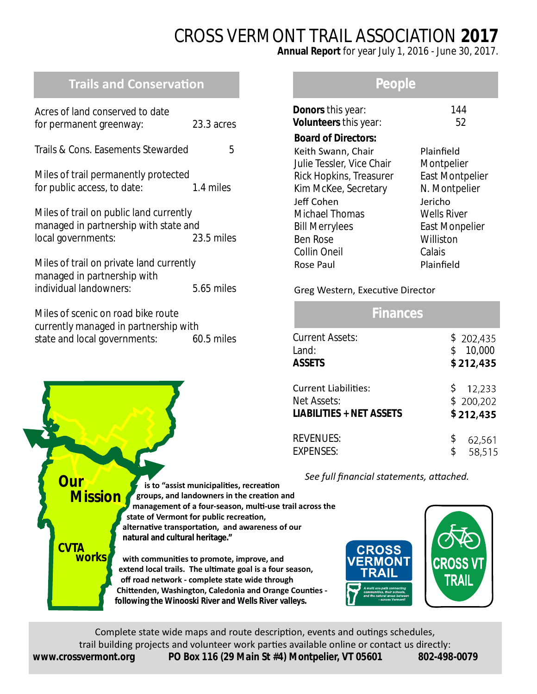# CROSS VERMONT TRAIL ASSOCIATION **2017**

**Annual Report** for year July 1, 2016 - June 30, 2017.

# **Trails and Conservation**

| Acres of land conserved to date<br>for permanent greenway:                                                  | 23.3 acres |
|-------------------------------------------------------------------------------------------------------------|------------|
| Trails & Cons. Easements Stewarded                                                                          | 5          |
| Miles of trail permanently protected<br>for public access, to date:                                         | 1.4 miles  |
| Miles of trail on public land currently<br>managed in partnership with state and<br>local governments:      | 23.5 miles |
| Miles of trail on private land currently<br>managed in partnership with<br>individual landowners:           | 5.65 miles |
| Miles of scenic on road bike route<br>currently managed in partnership with<br>state and local governments: | 60.5 miles |

## **People**

| <b>Donors</b> this year:<br>Volunteers this year: | 144<br>52              |
|---------------------------------------------------|------------------------|
| <b>Board of Directors:</b>                        |                        |
| Keith Swann, Chair                                | Plainfield             |
| Julie Tessler, Vice Chair                         | Montpelier             |
| Rick Hopkins, Treasurer                           | <b>East Montpelier</b> |
| Kim McKee, Secretary                              | N. Montpelier          |
| Jeff Cohen                                        | Jericho                |
| Michael Thomas                                    | <b>Wells River</b>     |
| <b>Bill Merrylees</b>                             | East Monpelier         |
| <b>Ben Rose</b>                                   | Williston              |
| <b>Collin Oneil</b>                               | Calais                 |
| Rose Paul                                         | Plainfield             |
|                                                   |                        |

#### Greg Western, Executive Director

| <b>Finances</b>                                |                           |
|------------------------------------------------|---------------------------|
| <b>Current Assets:</b><br>Land:                | \$202,435<br>10,000<br>\$ |
| <b>ASSETS</b>                                  | \$212,435                 |
| <b>Current Liabilities:</b>                    | \$12,233                  |
| Net Assets:<br><b>LIABILITIES + NET ASSETS</b> | \$200,202<br>\$212,435    |
| <b>REVENUES:</b>                               | \$<br>62,561              |
| <b>EXPENSES:</b>                               | \$<br>58,515              |

See full financial statements, attached.





Complete state wide maps and route description, events and outings schedules, trail building projects and volunteer work parties available online or contact us directly: *www.crossvermont.org PO Box 116 (29 Main St #4) Montpelier, VT 05601 802-498-0079*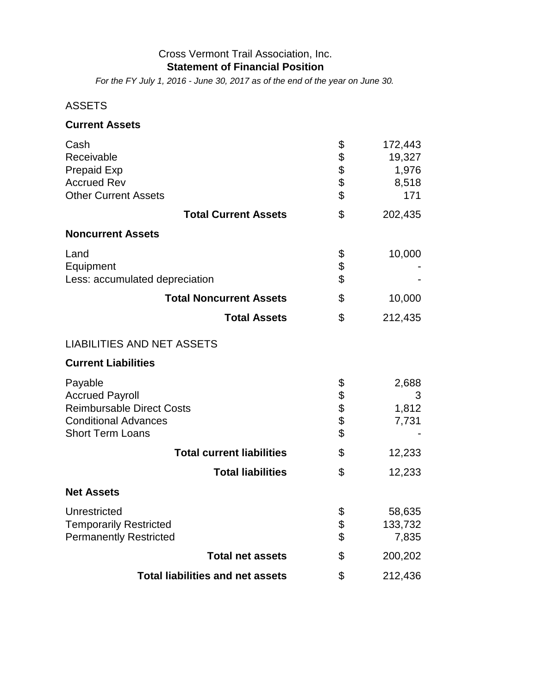#### Cross Vermont Trail Association, Inc. **Statement of Financial Position**

*For the FY July 1, 2016 - June 30, 2017 as of the end of the year on June 30.*

### ASSETS

#### **Current Assets**

| Cash                                    | \$       | 172,443         |
|-----------------------------------------|----------|-----------------|
| Receivable<br><b>Prepaid Exp</b>        | \$\$\$\$ | 19,327<br>1,976 |
| <b>Accrued Rev</b>                      |          | 8,518           |
| <b>Other Current Assets</b>             |          | 171             |
| <b>Total Current Assets</b>             | \$       | 202,435         |
| <b>Noncurrent Assets</b>                |          |                 |
| Land                                    |          | 10,000          |
| Equipment                               | \$<br>\$ |                 |
| Less: accumulated depreciation          |          |                 |
| <b>Total Noncurrent Assets</b>          | \$       | 10,000          |
| <b>Total Assets</b>                     | \$       | 212,435         |
| <b>LIABILITIES AND NET ASSETS</b>       |          |                 |
| <b>Current Liabilities</b>              |          |                 |
| Payable                                 | \$       | 2,688           |
| <b>Accrued Payroll</b>                  |          | 3               |
| <b>Reimbursable Direct Costs</b>        |          | 1,812           |
| <b>Conditional Advances</b>             | \$\$\$\$ | 7,731           |
| <b>Short Term Loans</b>                 |          |                 |
| <b>Total current liabilities</b>        | \$       | 12,233          |
| <b>Total liabilities</b>                | \$       | 12,233          |
| <b>Net Assets</b>                       |          |                 |
| Unrestricted                            | \$       | 58,635          |
| <b>Temporarily Restricted</b>           | \$       | 133,732         |
| <b>Permanently Restricted</b>           | \$       | 7,835           |
| <b>Total net assets</b>                 | \$       | 200,202         |
| <b>Total liabilities and net assets</b> | \$       | 212,436         |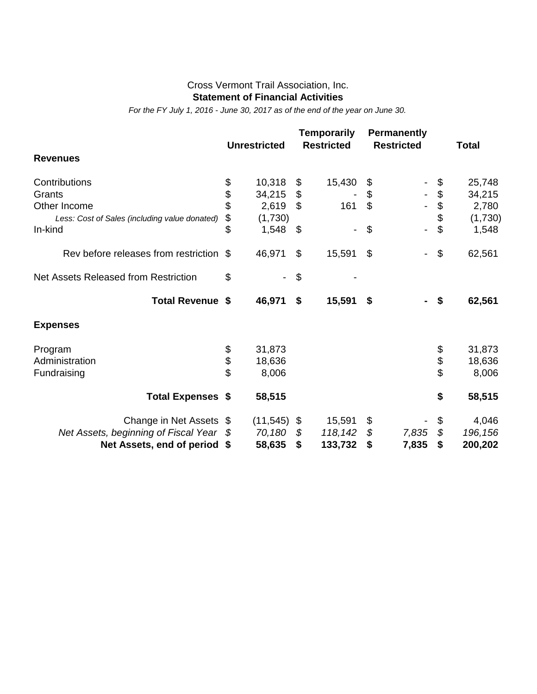#### Cross Vermont Trail Association, Inc. **Statement of Financial Activities**

*For the FY July 1, 2016 - June 30, 2017 as of the end of the year on June 30.*

|                                               |    | <b>Unrestricted</b> | <b>Temporarily</b><br><b>Restricted</b> |                | <b>Permanently</b><br><b>Restricted</b> | <b>Total</b>  |
|-----------------------------------------------|----|---------------------|-----------------------------------------|----------------|-----------------------------------------|---------------|
| <b>Revenues</b>                               |    |                     |                                         |                |                                         |               |
| Contributions                                 | \$ | 10,318              | \$<br>15,430                            | \$             |                                         | \$<br>25,748  |
| Grants                                        | \$ | 34,215              | \$                                      | \$             |                                         | \$<br>34,215  |
| Other Income                                  | \$ | 2,619               | \$<br>161                               | $\mathfrak{S}$ |                                         | \$<br>2,780   |
| Less: Cost of Sales (including value donated) | \$ | (1,730)             |                                         |                |                                         | \$<br>(1,730) |
| In-kind                                       | \$ | 1,548               | \$<br>$\overline{\phantom{a}}$          | \$             |                                         | \$<br>1,548   |
| Rev before releases from restriction          | S  | 46,971              | \$<br>15,591                            | $\mathcal{L}$  |                                         | \$<br>62,561  |
| <b>Net Assets Released from Restriction</b>   | \$ |                     | \$                                      |                |                                         |               |
| Total Revenue \$                              |    | 46,971              | \$<br>15,591                            | \$             |                                         | \$<br>62,561  |
| <b>Expenses</b>                               |    |                     |                                         |                |                                         |               |
| Program                                       | \$ | 31,873              |                                         |                |                                         | \$<br>31,873  |
| Administration                                | \$ | 18,636              |                                         |                |                                         | \$<br>18,636  |
| Fundraising                                   | \$ | 8,006               |                                         |                |                                         | \$<br>8,006   |
| <b>Total Expenses \$</b>                      |    | 58,515              |                                         |                |                                         | \$<br>58,515  |
| Change in Net Assets \$                       |    | $(11,545)$ \$       | 15,591                                  | \$             |                                         | \$<br>4,046   |
| Net Assets, beginning of Fiscal Year          |    | 70,180              | \$<br>118,142                           | \$             | 7,835                                   | \$<br>196,156 |
| Net Assets, end of period                     | \$ | 58,635              | \$<br>133,732                           | \$             | 7,835                                   | \$<br>200,202 |